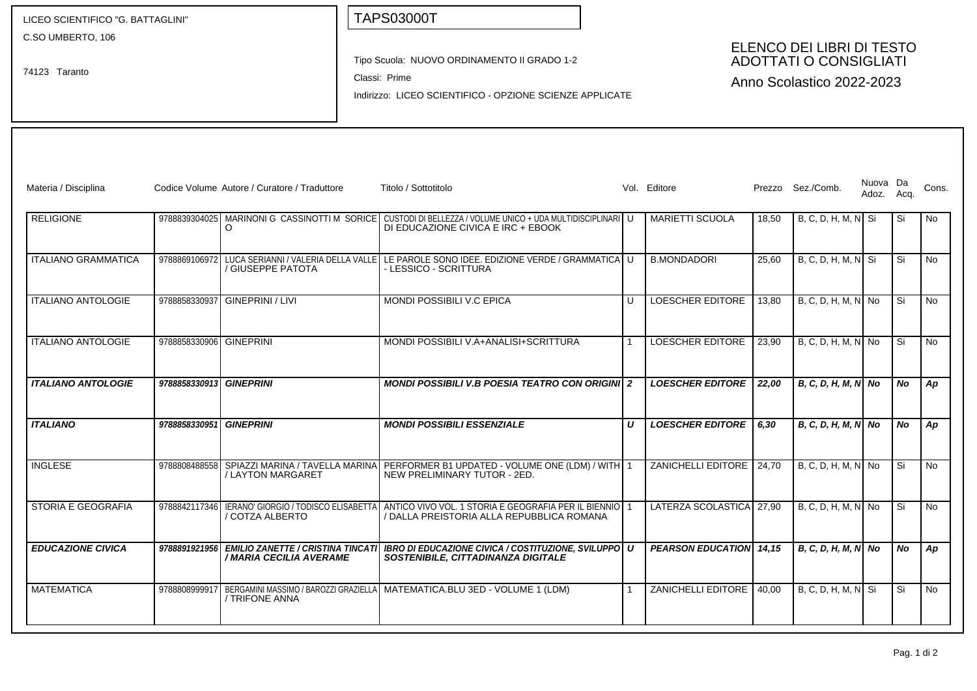| LICEO SCIENTIFICO "G. BATTAGLINI"<br>C.SO UMBERTO, 106<br>74123 Taranto |                         |                                                                     | <b>TAPS03000T</b>                                                                                                                               |    |                                                                                         |       |                       |                        |    |           |
|-------------------------------------------------------------------------|-------------------------|---------------------------------------------------------------------|-------------------------------------------------------------------------------------------------------------------------------------------------|----|-----------------------------------------------------------------------------------------|-------|-----------------------|------------------------|----|-----------|
|                                                                         |                         |                                                                     | Tipo Scuola: NUOVO ORDINAMENTO II GRADO 1-2<br>Classi: Prime<br>Indirizzo: LICEO SCIENTIFICO - OPZIONE SCIENZE APPLICATE                        |    | ELENCO DEI LIBRI DI TESTO<br><b>ADOTTATI O CONSIGLIATI</b><br>Anno Scolastico 2022-2023 |       |                       |                        |    |           |
| Materia / Disciplina                                                    |                         | Codice Volume Autore / Curatore / Traduttore                        | Titolo / Sottotitolo                                                                                                                            |    | Vol. Editore                                                                            |       | Prezzo Sez./Comb.     | Nuova Da<br>Adoz. Acq. |    | Cons.     |
| <b>RELIGIONE</b>                                                        |                         | O                                                                   | 9788839304025 MARINONI G CASSINOTTI M SORICE CUSTODI DI BELLEZZA / VOLUME UNICO + UDA MULTIDISCIPLINARI U<br>DI EDUCAZIONE CIVICA E IRC + EBOOK |    | <b>MARIETTI SCUOLA</b>                                                                  | 18,50 | $B, C, D, H, M, N$ Si |                        | Si | No        |
| <b>ITALIANO GRAMMATICA</b>                                              | 9788869106972           | / GIUSEPPE PATOTA                                                   | LUCA SERIANNI / VALERIA DELLA VALLE LE PAROLE SONO IDEE. EDIZIONE VERDE / GRAMMATICA<br>- LESSICO - SCRITTURA                                   | U  | <b>B.MONDADORI</b>                                                                      | 25,60 | $B, C, D, H, M, N$ Si |                        | Si | No        |
| <b>ITALIANO ANTOLOGIE</b>                                               | 9788858330937           | GINEPRINI / LIVI                                                    | MONDI POSSIBILI V.C EPICA                                                                                                                       | U  | LOESCHER EDITORE                                                                        | 13,80 | $B, C, D, H, M, N$ No |                        | Si | No        |
| <b>ITALIANO ANTOLOGIE</b>                                               | 9788858330906 GINEPRINI |                                                                     | MONDI POSSIBILI V.A+ANALISI+SCRITTURA                                                                                                           |    | LOESCHER EDITORE                                                                        | 23,90 | B, C, D, H, M, N No   |                        | Si | <b>No</b> |
| <b>ITALIANO ANTOLOGIE</b>                                               | 9788858330913 GINEPRINI |                                                                     | <b>MONDI POSSIBILI V.B POESIA TEATRO CON ORIGINI 2</b>                                                                                          |    | <b>LOESCHER EDITORE</b>                                                                 | 22,00 | $B, C, D, H, M, N$ No |                        | No | Ap        |
| <b>ITALIANO</b>                                                         | 9788858330951 GINEPRINI |                                                                     | <b>MONDI POSSIBILI ESSENZIALE</b>                                                                                                               | U  | <b>LOESCHER EDITORE</b>                                                                 | 6,30  | B, C, D, H, M, N  No  |                        | No | Ap        |
| <b>INGLESE</b>                                                          | 9788808488558           | SPIAZZI MARINA / TAVELLA MARINA<br>/ LAYTON MARGARET                | PERFORMER B1 UPDATED - VOLUME ONE (LDM) / WITH 1<br>NEW PRELIMINARY TUTOR - 2ED.                                                                |    | <b>ZANICHELLI EDITORE</b>                                                               | 24,70 | $B, C, D, H, M, N$ No |                        | Si | No        |
| STORIA E GEOGRAFIA                                                      | 9788842117346           | IERANO' GIORGIO / TODISCO ELISABETTA<br>/ COTZA ALBERTO             | ANTICO VIVO VOL. 1 STORIA E GEOGRAFIA PER IL BIENNIO 1<br>/ DALLA PREISTORIA ALLA REPUBBLICA ROMANA                                             |    | LATERZA SCOLASTICA 27,90                                                                |       | B, C, D, H, M, N No   |                        | Si | No        |
| <b>EDUCAZIONE CIVICA</b>                                                | 9788891921956           | <b>EMILIO ZANETTE / CRISTINA TINCATI</b><br>/ MARIA CECILIA AVERAME | <b>IBRO DI EDUCAZIONE CIVICA / COSTITUZIONE. SVILUPPO   U</b><br>SOSTENIBILE, CITTADINANZA DIGITALE                                             |    | <b>PEARSON EDUCATION 14,15</b>                                                          |       | B, C, D, H, M, N  No  |                        | No | Ap        |
| <b>MATEMATICA</b>                                                       | 9788808999917           | / TRIFONE ANNA                                                      | BERGAMINI MASSIMO / BAROZZI GRAZIELLA   MATEMATICA.BLU 3ED - VOLUME 1 (LDM)                                                                     | -1 | ZANICHELLI EDITORE                                                                      | 40,00 | $B, C, D, H, M, N$ Si |                        | Si | No        |